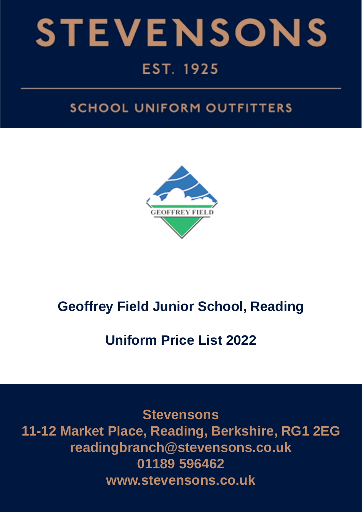

# EST. 1925

# **SCHOOL UNIFORM OUTFITTERS**



# **Geoffrey Field Junior School, Reading**

# **Uniform Price List 2022**

**Stevensons 11-12 Market Place, Reading, Berkshire, RG1 2EG readingbranch@stevensons.co.uk 01189 596462 www.stevensons.co.uk**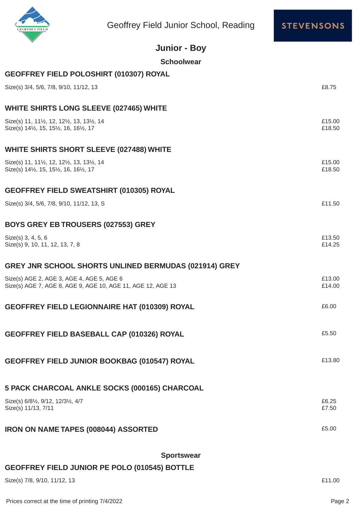



|                                                                                        | Geoffrey Field Junior School, Reading                       | <b>STEVENSON</b> |
|----------------------------------------------------------------------------------------|-------------------------------------------------------------|------------------|
|                                                                                        | <b>Junior - Boy</b>                                         |                  |
|                                                                                        | <b>Schoolwear</b>                                           |                  |
|                                                                                        | GEOFFREY FIELD POLOSHIRT (010307) ROYAL                     |                  |
| Size(s) 3/4, 5/6, 7/8, 9/10, 11/12, 13                                                 |                                                             | £8.75            |
|                                                                                        | <b>WHITE SHIRTS LONG SLEEVE (027465) WHITE</b>              |                  |
| Size(s) 11, 11½, 12, 12½, 13, 13½, 14<br>Size(s) 141/2, 15, 151/2, 16, 161/2, 17       |                                                             | £15.00<br>£18.50 |
|                                                                                        | <b>WHITE SHIRTS SHORT SLEEVE (027488) WHITE</b>             |                  |
| Size(s) 11, 111/2, 12, 121/2, 13, 131/2, 14<br>Size(s) 141/2, 15, 151/2, 16, 161/2, 17 |                                                             | £15.00<br>£18.50 |
|                                                                                        | <b>GEOFFREY FIELD SWEATSHIRT (010305) ROYAL</b>             |                  |
| Size(s) 3/4, 5/6, 7/8, 9/10, 11/12, 13, S                                              |                                                             | £11.50           |
| <b>BOYS GREY EB TROUSERS (027553) GREY</b>                                             |                                                             |                  |
| Size(s) 3, 4, 5, 6<br>Size(s) 9, 10, 11, 12, 13, 7, 8                                  |                                                             | £13.50<br>£14.25 |
|                                                                                        | GREY JNR SCHOOL SHORTS UNLINED BERMUDAS (021914) GREY       |                  |
| Size(s) AGE 2, AGE 3, AGE 4, AGE 5, AGE 6                                              | Size(s) AGE 7, AGE 8, AGE 9, AGE 10, AGE 11, AGE 12, AGE 13 | £13.00<br>£14.00 |
|                                                                                        | GEOFFREY FIELD LEGIONNAIRE HAT (010309) ROYAL               | £6.00            |
|                                                                                        | <b>GEOFFREY FIELD BASEBALL CAP (010326) ROYAL</b>           | £5.50            |
|                                                                                        |                                                             |                  |

**GEOFFREY FIELD JUNIOR BOOKBAG (010547) ROYAL Example 213.80** 

| 5 PACK CHARCOAL ANKLE SOCKS (000165) CHARCOAL                                                                 |                |
|---------------------------------------------------------------------------------------------------------------|----------------|
| Size(s) 6/8 <sup>1</sup> / <sub>2</sub> , 9/12, 12/3 <sup>1</sup> / <sub>2</sub> , 4/7<br>Size(s) 11/13, 7/11 | £6.25<br>£7.50 |
|                                                                                                               |                |

**IRON ON NAME TAPES (008044) ASSORTED**  $£5.00$ 

### **Sportswear**

### **GEOFFREY FIELD JUNIOR PE POLO (010545) BOTTLE**

Size(s) 7/8, 9/10, 11/12, 13 £11.00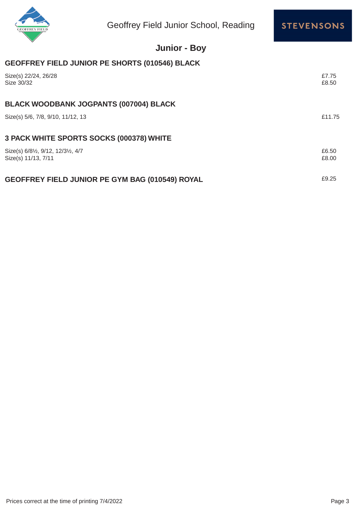



## **Junior - Boy**

### **GEOFFREY FIELD JUNIOR PE SHORTS (010546) BLACK**

| Size(s) 22/24, 26/28<br>Size 30/32                        | £7.75<br>£8.50 |
|-----------------------------------------------------------|----------------|
| <b>BLACK WOODBANK JOGPANTS (007004) BLACK</b>             |                |
| Size(s) 5/6, 7/8, 9/10, 11/12, 13                         | £11.75         |
| 3 PACK WHITE SPORTS SOCKS (000378) WHITE                  |                |
| Size(s) 6/81/2, 9/12, 12/31/2, 4/7<br>Size(s) 11/13, 7/11 | £6.50<br>£8.00 |
| <b>GEOFFREY FIELD JUNIOR PE GYM BAG (010549) ROYAL</b>    | £9.25          |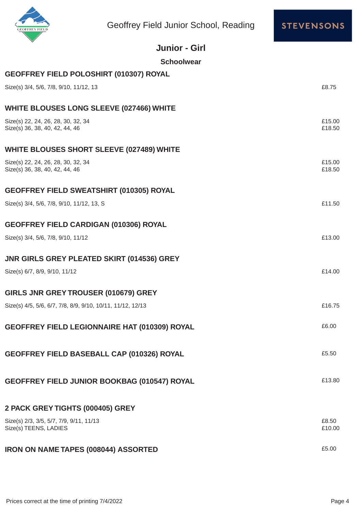

Geoffrey Field Junior School, Reading



| <b>Junior - Girl</b>                                                 |                  |
|----------------------------------------------------------------------|------------------|
| <b>Schoolwear</b>                                                    |                  |
| GEOFFREY FIELD POLOSHIRT (010307) ROYAL                              |                  |
| Size(s) 3/4, 5/6, 7/8, 9/10, 11/12, 13                               | £8.75            |
| <b>WHITE BLOUSES LONG SLEEVE (027466) WHITE</b>                      |                  |
| Size(s) 22, 24, 26, 28, 30, 32, 34<br>Size(s) 36, 38, 40, 42, 44, 46 | £15.00<br>£18.50 |
| <b>WHITE BLOUSES SHORT SLEEVE (027489) WHITE</b>                     |                  |
| Size(s) 22, 24, 26, 28, 30, 32, 34<br>Size(s) 36, 38, 40, 42, 44, 46 | £15.00<br>£18.50 |
| <b>GEOFFREY FIELD SWEATSHIRT (010305) ROYAL</b>                      |                  |
| Size(s) 3/4, 5/6, 7/8, 9/10, 11/12, 13, S                            | £11.50           |
| <b>GEOFFREY FIELD CARDIGAN (010306) ROYAL</b>                        |                  |
| Size(s) 3/4, 5/6, 7/8, 9/10, 11/12                                   | £13.00           |
| <b>JNR GIRLS GREY PLEATED SKIRT (014536) GREY</b>                    |                  |
| Size(s) 6/7, 8/9, 9/10, 11/12                                        | £14.00           |
| GIRLS JNR GREY TROUSER (010679) GREY                                 |                  |
| Size(s) 4/5, 5/6, 6/7, 7/8, 8/9, 9/10, 10/11, 11/12, 12/13           | £16.75           |
| <b>GEOFFREY FIELD LEGIONNAIRE HAT (010309) ROYAL</b>                 | £6.00            |
| <b>GEOFFREY FIELD BASEBALL CAP (010326) ROYAL</b>                    | £5.50            |
| <b>GEOFFREY FIELD JUNIOR BOOKBAG (010547) ROYAL</b>                  | £13.80           |
| 2 PACK GREY TIGHTS (000405) GREY                                     |                  |
| Size(s) 2/3, 3/5, 5/7, 7/9, 9/11, 11/13                              | £8.50            |
| Size(s) TEENS, LADIES                                                | £10.00           |

## **IRON ON NAME TAPES (008044) ASSORTED**  $£5.00$